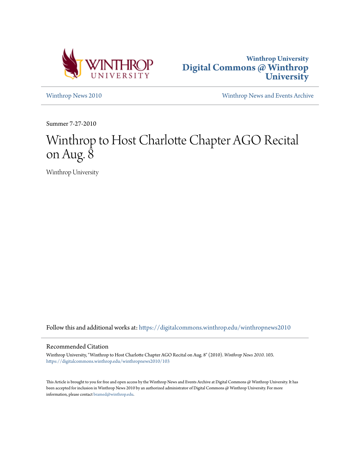



[Winthrop News 2010](https://digitalcommons.winthrop.edu/winthropnews2010?utm_source=digitalcommons.winthrop.edu%2Fwinthropnews2010%2F103&utm_medium=PDF&utm_campaign=PDFCoverPages) [Winthrop News and Events Archive](https://digitalcommons.winthrop.edu/winthropnewsarchives?utm_source=digitalcommons.winthrop.edu%2Fwinthropnews2010%2F103&utm_medium=PDF&utm_campaign=PDFCoverPages)

Summer 7-27-2010

## Winthrop to Host Charlotte Chapter AGO Recital on Aug. 8

Winthrop University

Follow this and additional works at: [https://digitalcommons.winthrop.edu/winthropnews2010](https://digitalcommons.winthrop.edu/winthropnews2010?utm_source=digitalcommons.winthrop.edu%2Fwinthropnews2010%2F103&utm_medium=PDF&utm_campaign=PDFCoverPages)

## Recommended Citation

Winthrop University, "Winthrop to Host Charlotte Chapter AGO Recital on Aug. 8" (2010). *Winthrop News 2010*. 103. [https://digitalcommons.winthrop.edu/winthropnews2010/103](https://digitalcommons.winthrop.edu/winthropnews2010/103?utm_source=digitalcommons.winthrop.edu%2Fwinthropnews2010%2F103&utm_medium=PDF&utm_campaign=PDFCoverPages)

This Article is brought to you for free and open access by the Winthrop News and Events Archive at Digital Commons @ Winthrop University. It has been accepted for inclusion in Winthrop News 2010 by an authorized administrator of Digital Commons @ Winthrop University. For more information, please contact [bramed@winthrop.edu](mailto:bramed@winthrop.edu).